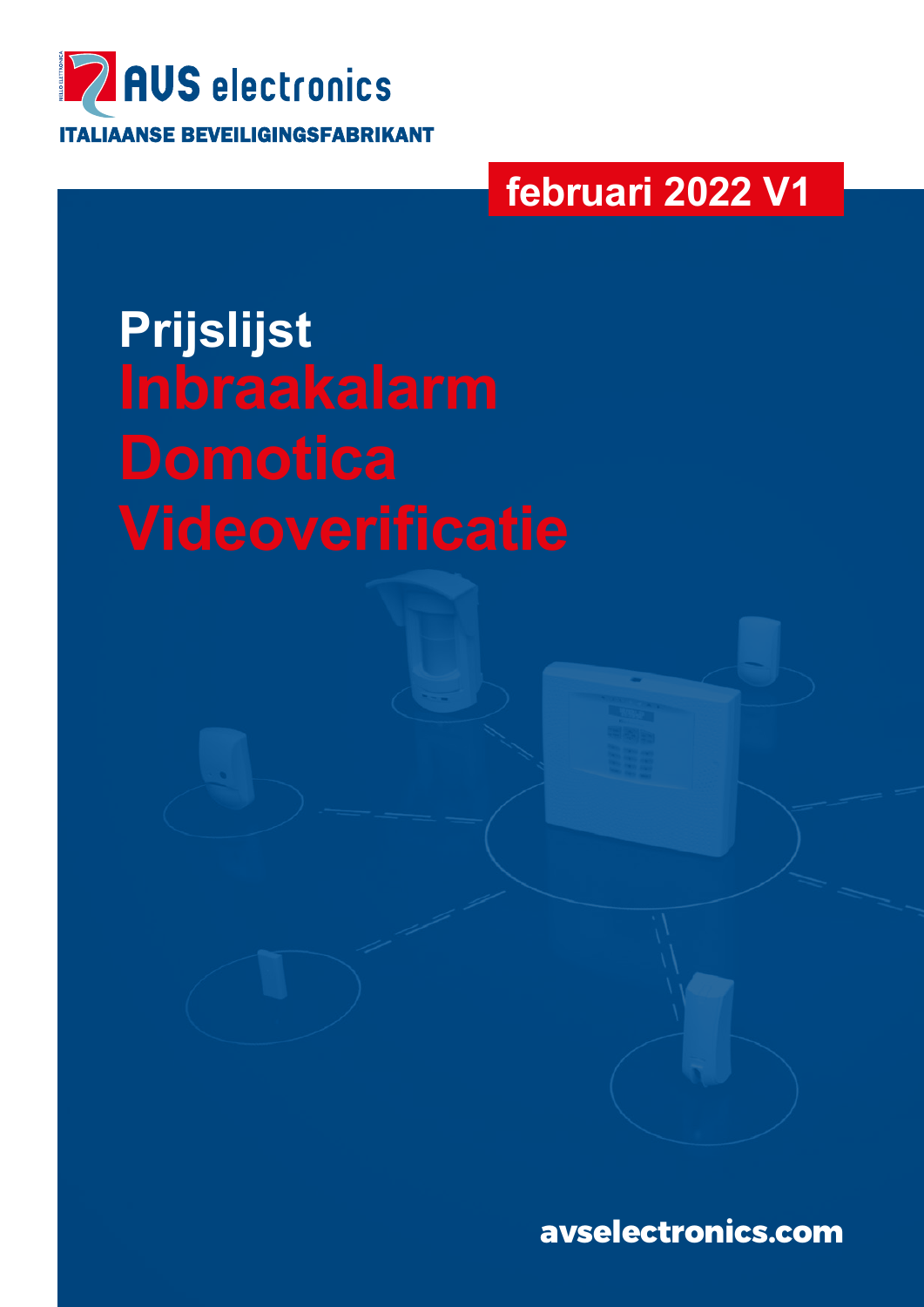

# **februari 2022 V1**

**Prijslijst Inbraakalarm** 

**avselectronics.com**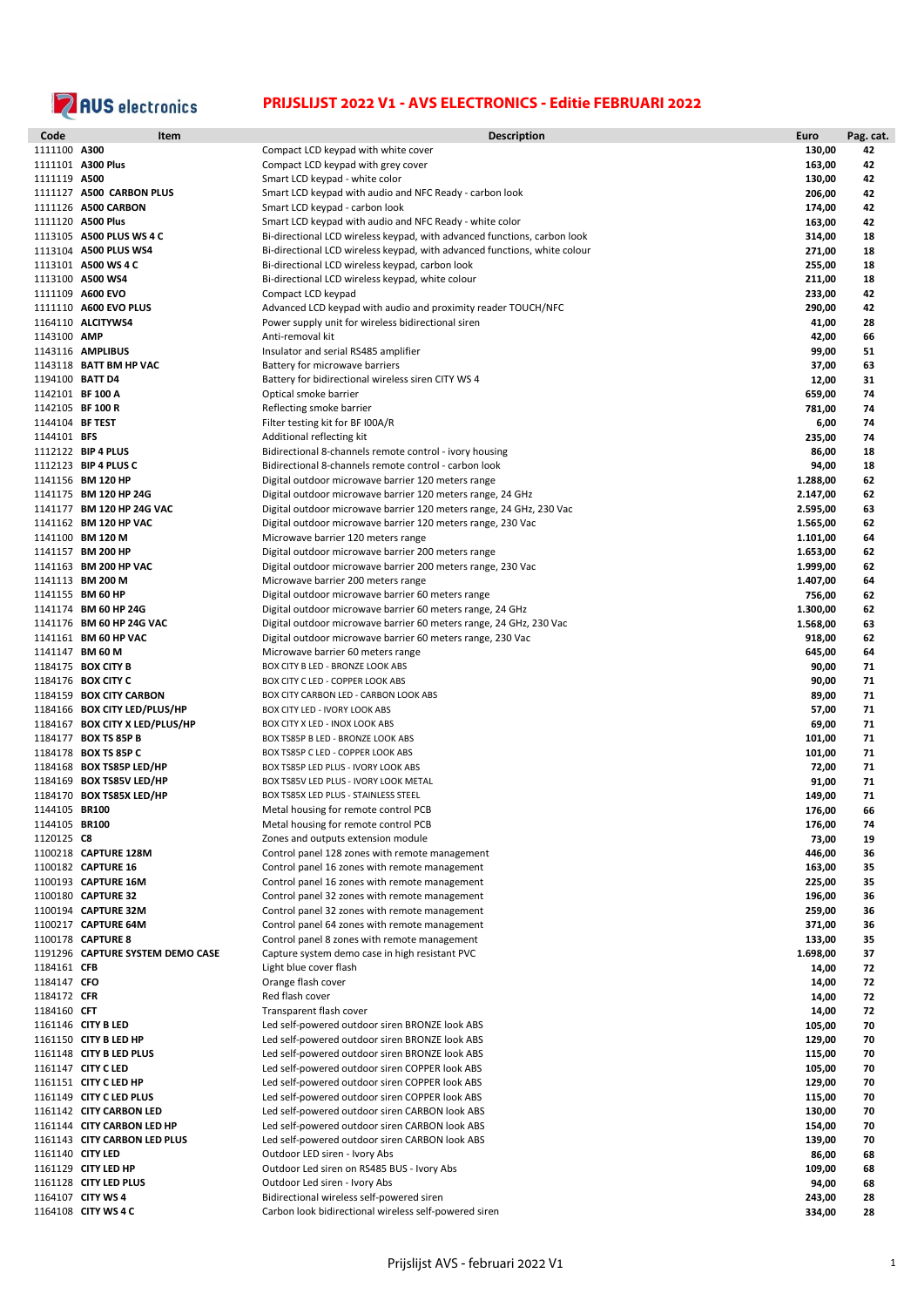

| Code            | Item                             | <b>Description</b>                                                        | Euro            | Pag. cat. |
|-----------------|----------------------------------|---------------------------------------------------------------------------|-----------------|-----------|
| 1111100 A300    |                                  | Compact LCD keypad with white cover                                       | 130,00          | 42        |
|                 | 1111101 A300 Plus                | Compact LCD keypad with grey cover                                        | 163,00          | 42        |
| 1111119 A500    |                                  | Smart LCD keypad - white color                                            | 130,00          | 42        |
|                 | 1111127 A500 CARBON PLUS         | Smart LCD keypad with audio and NFC Ready - carbon look                   | 206,00          | 42        |
|                 | 1111126 A500 CARBON              | Smart LCD keypad - carbon look                                            | 174,00          | 42        |
|                 | 1111120 A500 Plus                | Smart LCD keypad with audio and NFC Ready - white color                   | 163,00          | 42        |
|                 | 1113105 A500 PLUS WS 4 C         | Bi-directional LCD wireless keypad, with advanced functions, carbon look  | 314,00          | 18        |
|                 | 1113104 A500 PLUS WS4            | Bi-directional LCD wireless keypad, with advanced functions, white colour | 271,00          | 18        |
|                 | 1113101 A500 WS 4 C              | Bi-directional LCD wireless keypad, carbon look                           | 255,00          | 18        |
|                 | 1113100 A500 WS4                 | Bi-directional LCD wireless keypad, white colour                          | 211,00          | 18        |
|                 | 1111109 A600 EVO                 | Compact LCD keypad                                                        | 233,00          | 42        |
|                 | 1111110 A600 EVO PLUS            | Advanced LCD keypad with audio and proximity reader TOUCH/NFC             | 290,00          | 42        |
|                 | 1164110 ALCITYWS4                | Power supply unit for wireless bidirectional siren                        | 41,00           | 28        |
| 1143100 AMP     |                                  | Anti-removal kit                                                          | 42,00           | 66        |
|                 | 1143116 AMPLIBUS                 | Insulator and serial RS485 amplifier                                      | 99,00           | 51        |
|                 | 1143118 BATT BM HP VAC           | Battery for microwave barriers                                            | 37,00           | 63        |
|                 | 1194100 BATT D4                  | Battery for bidirectional wireless siren CITY WS 4                        | 12,00           | 31        |
|                 | 1142101 BF 100 A                 | Optical smoke barrier                                                     | 659,00          | 74        |
|                 | 1142105 BF 100 R                 | Reflecting smoke barrier                                                  | 781,00          | 74        |
| 1144104 BF TEST |                                  | Filter testing kit for BF I00A/R                                          | 6,00            | 74        |
| 1144101 BFS     |                                  | Additional reflecting kit                                                 | 235,00          | 74        |
|                 | 1112122 BIP 4 PLUS               | Bidirectional 8-channels remote control - ivory housing                   | 86,00           | 18        |
|                 | 1112123 BIP 4 PLUS C             | Bidirectional 8-channels remote control - carbon look                     | 94,00           | 18        |
|                 | 1141156 BM 120 HP                | Digital outdoor microwave barrier 120 meters range                        | 1.288,00        | 62        |
|                 | 1141175 BM 120 HP 24G            | Digital outdoor microwave barrier 120 meters range, 24 GHz                | 2.147,00        | 62        |
|                 | 1141177 BM 120 HP 24G VAC        | Digital outdoor microwave barrier 120 meters range, 24 GHz, 230 Vac       | 2.595,00        | 63        |
|                 | 1141162 BM 120 HP VAC            | Digital outdoor microwave barrier 120 meters range, 230 Vac               | 1.565,00        | 62        |
|                 | 1141100 BM 120 M                 | Microwave barrier 120 meters range                                        | 1.101,00        | 64        |
|                 | 1141157 BM 200 HP                | Digital outdoor microwave barrier 200 meters range                        | 1.653,00        | 62        |
|                 | 1141163 BM 200 HP VAC            | Digital outdoor microwave barrier 200 meters range, 230 Vac               | 1.999,00        | 62        |
|                 | 1141113 BM 200 M                 | Microwave barrier 200 meters range                                        | 1.407,00        | 64        |
|                 | 1141155 BM 60 HP                 | Digital outdoor microwave barrier 60 meters range                         | 756,00          | 62        |
|                 | 1141174 BM 60 HP 24G             | Digital outdoor microwave barrier 60 meters range, 24 GHz                 | 1.300,00        | 62        |
|                 | 1141176 BM 60 HP 24G VAC         | Digital outdoor microwave barrier 60 meters range, 24 GHz, 230 Vac        | 1.568,00        | 63        |
|                 | 1141161 BM 60 HP VAC             | Digital outdoor microwave barrier 60 meters range, 230 Vac                | 918,00          | 62        |
|                 | 1141147 BM 60 M                  | Microwave barrier 60 meters range                                         | 645,00          | 64        |
|                 | 1184175 <b>BOX CITY B</b>        | BOX CITY B LED - BRONZE LOOK ABS                                          | 90,00           | 71        |
|                 | 1184176 <b>BOX CITY C</b>        | BOX CITY C LED - COPPER LOOK ABS                                          | 90,00           | 71        |
|                 | 1184159 BOX CITY CARBON          | BOX CITY CARBON LED - CARBON LOOK ABS                                     | 89,00           | 71        |
|                 | 1184166 BOX CITY LED/PLUS/HP     | BOX CITY LED - IVORY LOOK ABS                                             | 57,00           | 71        |
|                 | 1184167 BOX CITY X LED/PLUS/HP   | BOX CITY X LED - INOX LOOK ABS                                            | 69,00           | 71        |
|                 | 1184177 BOX TS 85P B             | BOX TS85P B LED - BRONZE LOOK ABS                                         | 101,00          | 71        |
|                 | 1184178 BOX TS 85P C             | BOX TS85P C LED - COPPER LOOK ABS                                         | 101,00          | 71        |
|                 | 1184168 BOX TS85P LED/HP         | BOX TS85P LED PLUS - IVORY LOOK ABS                                       | 72,00           | 71        |
|                 | 1184169 BOX TS85V LED/HP         | BOX TS85V LED PLUS - IVORY LOOK METAL                                     | 91,00           | 71        |
|                 | 1184170 BOX TS85X LED/HP         | BOX TS85X LED PLUS - STAINLESS STEEL                                      | 149,00          | 71        |
| 1144105 BR100   |                                  | Metal housing for remote control PCB                                      | 176,00          | 66        |
| 1144105 BR100   |                                  | Metal housing for remote control PCB                                      | 176,00          | 74        |
| 1120125 C8      |                                  | Zones and outputs extension module                                        |                 | 19        |
|                 | 1100218 CAPTURE 128M             | Control panel 128 zones with remote management                            | 73,00<br>446,00 | 36        |
|                 | 1100182 CAPTURE 16               | Control panel 16 zones with remote management                             | 163,00          | 35        |
|                 | 1100193 CAPTURE 16M              | Control panel 16 zones with remote management                             | 225,00          | 35        |
|                 | 1100180 CAPTURE 32               | Control panel 32 zones with remote management                             | 196,00          | 36        |
|                 | 1100194 CAPTURE 32M              | Control panel 32 zones with remote management                             | 259,00          | 36        |
|                 | 1100217 CAPTURE 64M              | Control panel 64 zones with remote management                             | 371,00          | 36        |
|                 | 1100178 CAPTURE 8                | Control panel 8 zones with remote management                              | 133,00          | 35        |
|                 | 1191296 CAPTURE SYSTEM DEMO CASE | Capture system demo case in high resistant PVC                            | 1.698,00        | 37        |
| 1184161 CFB     |                                  | Light blue cover flash                                                    |                 |           |
|                 |                                  |                                                                           | 14,00           | 72        |
| 1184147 CFO     |                                  | Orange flash cover                                                        | 14,00           | 72        |
| 1184172 CFR     |                                  | Red flash cover                                                           | 14,00           | 72        |
| 1184160 CFT     |                                  | Transparent flash cover                                                   | 14,00           | 72        |
|                 | 1161146 CITY B LED               | Led self-powered outdoor siren BRONZE look ABS                            | 105,00          | 70        |
|                 | 1161150 CITY B LED HP            | Led self-powered outdoor siren BRONZE look ABS                            | 129,00          | 70        |
|                 | 1161148 CITY B LED PLUS          | Led self-powered outdoor siren BRONZE look ABS                            | 115,00          | 70        |
|                 | 1161147 CITY C LED               | Led self-powered outdoor siren COPPER look ABS                            | 105,00          | 70        |
|                 | 1161151 CITY C LED HP            | Led self-powered outdoor siren COPPER look ABS                            | 129,00          | 70        |
|                 | 1161149 CITY C LED PLUS          | Led self-powered outdoor siren COPPER look ABS                            | 115,00          | 70        |
|                 | 1161142 CITY CARBON LED          | Led self-powered outdoor siren CARBON look ABS                            | 130,00          | 70        |
|                 | 1161144 CITY CARBON LED HP       | Led self-powered outdoor siren CARBON look ABS                            | 154,00          | 70        |
|                 | 1161143 CITY CARBON LED PLUS     | Led self-powered outdoor siren CARBON look ABS                            | 139,00          | 70        |
|                 | 1161140 CITY LED                 | Outdoor LED siren - Ivory Abs                                             | 86,00           | 68        |
|                 | 1161129 CITY LED HP              | Outdoor Led siren on RS485 BUS - Ivory Abs                                | 109,00          | 68        |
|                 | 1161128 CITY LED PLUS            | Outdoor Led siren - Ivory Abs                                             | 94,00           | 68        |
|                 | 1164107 CITY WS 4                | Bidirectional wireless self-powered siren                                 | 243,00          | 28        |
|                 | 1164108 CITY WS 4 C              | Carbon look bidirectional wireless self-powered siren                     | 334,00          | 28        |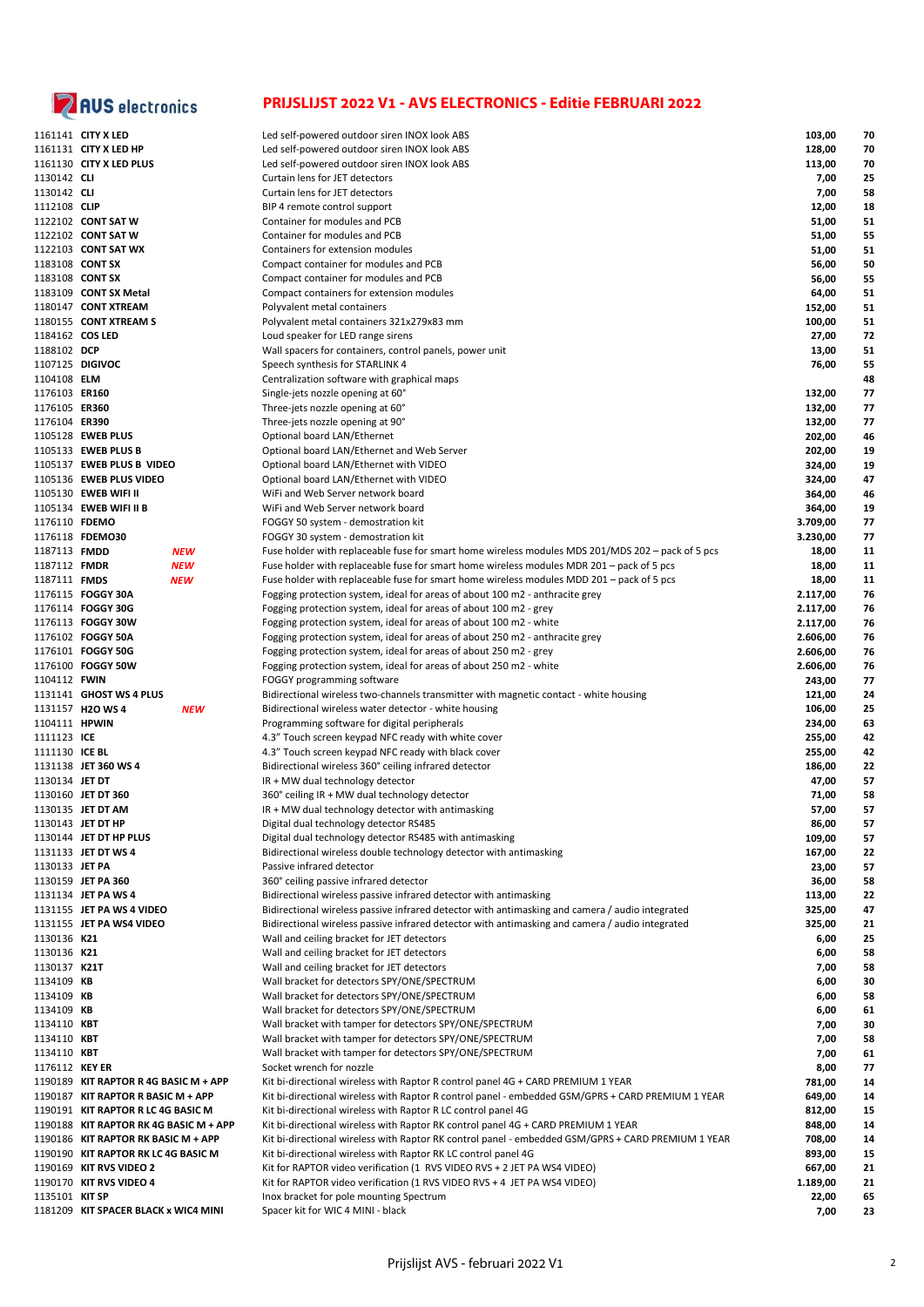

|                 | 1161141 CITY X LED                     | Led self-powered outdoor siren INOX look ABS                                                       | 103,00   | 70 |
|-----------------|----------------------------------------|----------------------------------------------------------------------------------------------------|----------|----|
|                 | 1161131 CITY X LED HP                  | Led self-powered outdoor siren INOX look ABS                                                       | 128,00   | 70 |
|                 | 1161130 CITY X LED PLUS                | Led self-powered outdoor siren INOX look ABS                                                       | 113,00   | 70 |
| 1130142 CLI     |                                        | Curtain lens for JET detectors                                                                     | 7,00     | 25 |
| 1130142 CLI     |                                        | Curtain lens for JET detectors                                                                     | 7,00     | 58 |
| 1112108 CLIP    |                                        | BIP 4 remote control support                                                                       | 12,00    | 18 |
|                 | 1122102 CONT SAT W                     | Container for modules and PCB                                                                      |          |    |
|                 |                                        |                                                                                                    | 51,00    | 51 |
|                 | 1122102 CONT SAT W                     | Container for modules and PCB                                                                      | 51,00    | 55 |
|                 | 1122103 CONT SAT WX                    | Containers for extension modules                                                                   | 51,00    | 51 |
|                 | 1183108 CONT SX                        | Compact container for modules and PCB                                                              | 56,00    | 50 |
|                 | 1183108 CONT SX                        | Compact container for modules and PCB                                                              | 56,00    | 55 |
|                 | 1183109 CONT SX Metal                  | Compact containers for extension modules                                                           | 64,00    | 51 |
|                 | 1180147 CONT XTREAM                    |                                                                                                    |          |    |
|                 |                                        | Polyvalent metal containers                                                                        | 152,00   | 51 |
|                 | 1180155 CONT XTREAM S                  | Polyvalent metal containers 321x279x83 mm                                                          | 100,00   | 51 |
| 1184162 COS LED |                                        | Loud speaker for LED range sirens                                                                  | 27,00    | 72 |
| 1188102 DCP     |                                        | Wall spacers for containers, control panels, power unit                                            | 13,00    | 51 |
|                 | 1107125 DIGIVOC                        | Speech synthesis for STARLINK 4                                                                    | 76,00    | 55 |
| 1104108 ELM     |                                        | Centralization software with graphical maps                                                        |          | 48 |
| 1176103 ER160   |                                        |                                                                                                    |          | 77 |
|                 |                                        | Single-jets nozzle opening at 60°                                                                  | 132,00   |    |
| 1176105 ER360   |                                        | Three-jets nozzle opening at 60°                                                                   | 132,00   | 77 |
| 1176104 ER390   |                                        | Three-jets nozzle opening at 90°                                                                   | 132,00   | 77 |
|                 | 1105128 EWEB PLUS                      | Optional board LAN/Ethernet                                                                        | 202,00   | 46 |
|                 | 1105133 EWEB PLUS B                    | Optional board LAN/Ethernet and Web Server                                                         | 202,00   | 19 |
|                 | 1105137 EWEB PLUS B VIDEO              | Optional board LAN/Ethernet with VIDEO                                                             | 324,00   | 19 |
|                 | 1105136 EWEB PLUS VIDEO                |                                                                                                    | 324,00   | 47 |
|                 |                                        | Optional board LAN/Ethernet with VIDEO                                                             |          |    |
|                 | 1105130 EWEB WIFI II                   | WiFi and Web Server network board                                                                  | 364,00   | 46 |
|                 | 1105134 EWEB WIFI II B                 | WiFi and Web Server network board                                                                  | 364,00   | 19 |
| 1176110 FDEMO   |                                        | FOGGY 50 system - demostration kit                                                                 | 3.709,00 | 77 |
|                 | 1176118 FDEMO30                        | FOGGY 30 system - demostration kit                                                                 | 3.230,00 | 77 |
| 1187113 FMDD    | <b>NEW</b>                             | Fuse holder with replaceable fuse for smart home wireless modules MDS 201/MDS 202 – pack of 5 pcs  | 18,00    | 11 |
| 1187112 FMDR    | <b>NEW</b>                             | Fuse holder with replaceable fuse for smart home wireless modules MDR 201 - pack of 5 pcs          | 18,00    | 11 |
|                 |                                        |                                                                                                    |          |    |
| 1187111 FMDS    | <b>NEW</b>                             | Fuse holder with replaceable fuse for smart home wireless modules MDD 201 - pack of 5 pcs          | 18,00    | 11 |
|                 | 1176115 FOGGY 30A                      | Fogging protection system, ideal for areas of about 100 m2 - anthracite grey                       | 2.117,00 | 76 |
|                 | 1176114 FOGGY 30G                      | Fogging protection system, ideal for areas of about 100 m2 - grey                                  | 2.117,00 | 76 |
|                 | 1176113 FOGGY 30W                      | Fogging protection system, ideal for areas of about 100 m2 - white                                 | 2.117,00 | 76 |
|                 | 1176102 FOGGY 50A                      | Fogging protection system, ideal for areas of about 250 m2 - anthracite grey                       | 2.606,00 | 76 |
|                 | 1176101 FOGGY 50G                      | Fogging protection system, ideal for areas of about 250 m2 - grey                                  | 2.606,00 | 76 |
|                 | 1176100 FOGGY 50W                      |                                                                                                    | 2.606,00 | 76 |
|                 |                                        | Fogging protection system, ideal for areas of about 250 m2 - white                                 |          |    |
| 1104112 FWIN    |                                        | FOGGY programming software                                                                         | 243,00   | 77 |
|                 | 1131141 GHOST WS 4 PLUS                | Bidirectional wireless two-channels transmitter with magnetic contact - white housing              | 121,00   | 24 |
|                 | 1131157 H2O WS 4<br><b>NEW</b>         | Bidirectional wireless water detector - white housing                                              | 106,00   | 25 |
| 1104111 HPWIN   |                                        | Programming software for digital peripherals                                                       | 234,00   | 63 |
| 1111123 ICE     |                                        | 4.3" Touch screen keypad NFC ready with white cover                                                | 255,00   | 42 |
| 1111130 ICE BL  |                                        | 4.3" Touch screen keypad NFC ready with black cover                                                | 255,00   | 42 |
|                 | 1131138 JET 360 WS 4                   |                                                                                                    |          | 22 |
|                 |                                        | Bidirectional wireless 360° ceiling infrared detector                                              | 186,00   |    |
| 1130134 JET DT  |                                        | IR + MW dual technology detector                                                                   | 47,00    | 57 |
|                 | 1130160 JET DT 360                     | 360° ceiling IR + MW dual technology detector                                                      | 71,00    | 58 |
|                 | 1130135 JET DT AM                      | $IR + MW$ dual technology detector with antimasking                                                | 57,00    | 57 |
|                 | 1130143 JET DT HP                      | Digital dual technology detector RS485                                                             | 86,00    | 57 |
|                 | 1130144 JET DT HP PLUS                 | Digital dual technology detector RS485 with antimasking                                            | 109,00   | 57 |
|                 | 1131133 JET DT WS 4                    | Bidirectional wireless double technology detector with antimasking                                 | 167,00   | 22 |
|                 |                                        |                                                                                                    |          |    |
| 1130133 JET PA  |                                        | Passive infrared detector                                                                          | 23,00    | 57 |
|                 | 1130159 JET PA 360                     | 360° ceiling passive infrared detector                                                             | 36,00    | 58 |
|                 | 1131134 JET PA WS 4                    | Bidirectional wireless passive infrared detector with antimasking                                  | 113,00   | 22 |
|                 | 1131155 JET PA WS 4 VIDEO              | Bidirectional wireless passive infrared detector with antimasking and camera / audio integrated    | 325,00   | 47 |
|                 | 1131155 JET PA WS4 VIDEO               | Bidirectional wireless passive infrared detector with antimasking and camera / audio integrated    | 325,00   | 21 |
| 1130136 K21     |                                        | Wall and ceiling bracket for JET detectors                                                         | 6,00     | 25 |
| 1130136 K21     |                                        | Wall and ceiling bracket for JET detectors                                                         | 6,00     | 58 |
| 1130137 K21T    |                                        | Wall and ceiling bracket for JET detectors                                                         | 7,00     | 58 |
|                 |                                        |                                                                                                    |          |    |
| 1134109 KB      |                                        | Wall bracket for detectors SPY/ONE/SPECTRUM                                                        | 6,00     | 30 |
| 1134109 KB      |                                        | Wall bracket for detectors SPY/ONE/SPECTRUM                                                        | 6,00     | 58 |
| 1134109 KB      |                                        | Wall bracket for detectors SPY/ONE/SPECTRUM                                                        | 6,00     | 61 |
| 1134110 KBT     |                                        | Wall bracket with tamper for detectors SPY/ONE/SPECTRUM                                            | 7,00     | 30 |
| 1134110 KBT     |                                        | Wall bracket with tamper for detectors SPY/ONE/SPECTRUM                                            | 7,00     | 58 |
| 1134110 KBT     |                                        | Wall bracket with tamper for detectors SPY/ONE/SPECTRUM                                            | 7,00     | 61 |
| 1176112 KEY ER  |                                        | Socket wrench for nozzle                                                                           | 8,00     | 77 |
|                 |                                        |                                                                                                    |          |    |
|                 | 1190189 KIT RAPTOR R 4G BASIC M + APP  | Kit bi-directional wireless with Raptor R control panel 4G + CARD PREMIUM 1 YEAR                   | 781,00   | 14 |
|                 | 1190187 KIT RAPTOR R BASIC M + APP     | Kit bi-directional wireless with Raptor R control panel - embedded GSM/GPRS + CARD PREMIUM 1 YEAR  | 649,00   | 14 |
|                 | 1190191 KIT RAPTOR R LC 4G BASIC M     | Kit bi-directional wireless with Raptor R LC control panel 4G                                      | 812,00   | 15 |
|                 | 1190188 KIT RAPTOR RK 4G BASIC M + APP | Kit bi-directional wireless with Raptor RK control panel 4G + CARD PREMIUM 1 YEAR                  | 848,00   | 14 |
|                 | 1190186 KIT RAPTOR RK BASIC M + APP    | Kit bi-directional wireless with Raptor RK control panel - embedded GSM/GPRS + CARD PREMIUM 1 YEAR | 708,00   | 14 |
|                 | 1190190 KIT RAPTOR RK LC 4G BASIC M    | Kit bi-directional wireless with Raptor RK LC control panel 4G                                     | 893,00   | 15 |
|                 | 1190169 KIT RVS VIDEO 2                |                                                                                                    |          |    |
|                 |                                        | Kit for RAPTOR video verification (1 RVS VIDEO RVS + 2 JET PA WS4 VIDEO)                           | 667,00   | 21 |
|                 | 1190170 KIT RVS VIDEO 4                | Kit for RAPTOR video verification (1 RVS VIDEO RVS + 4 JET PA WS4 VIDEO)                           | 1.189,00 | 21 |
| 1135101 KIT SP  |                                        | Inox bracket for pole mounting Spectrum                                                            | 22,00    | 65 |
|                 | 1181209 KIT SPACER BLACK x WIC4 MINI   | Spacer kit for WIC 4 MINI - black                                                                  | 7,00     | 23 |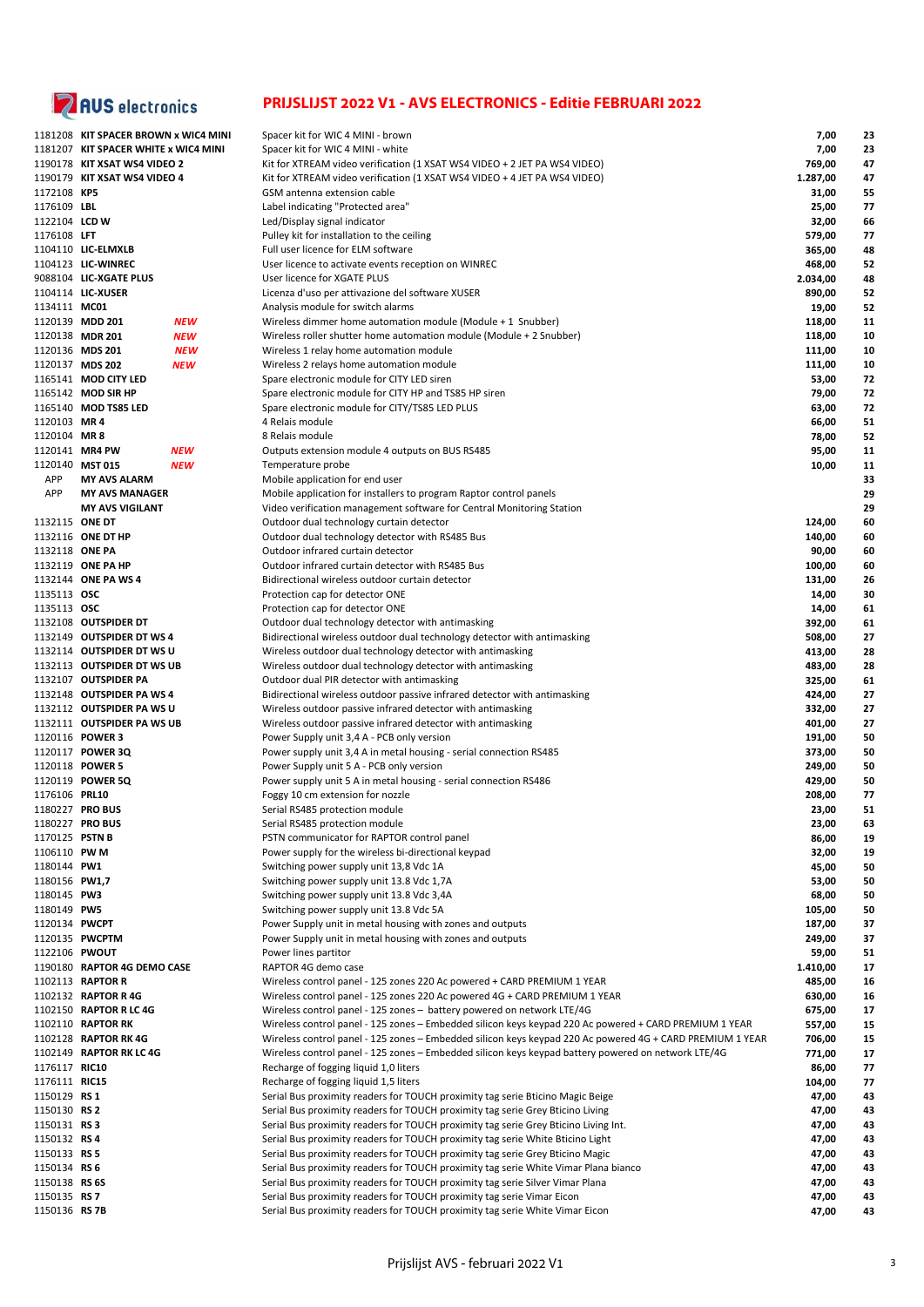

|                      | 1181208   KIT SPACER BROWN x WIC4 MINI |            | Spacer kit for WIC 4 MINI - brown                                                                         | 7,00     | 23 |
|----------------------|----------------------------------------|------------|-----------------------------------------------------------------------------------------------------------|----------|----|
|                      | 1181207 KIT SPACER WHITE x WIC4 MINI   |            | Spacer kit for WIC 4 MINI - white                                                                         | 7,00     | 23 |
|                      | 1190178 KIT XSAT WS4 VIDEO 2           |            | Kit for XTREAM video verification (1 XSAT WS4 VIDEO + 2 JET PA WS4 VIDEO)                                 | 769,00   | 47 |
|                      | 1190179 KIT XSAT WS4 VIDEO 4           |            | Kit for XTREAM video verification (1 XSAT WS4 VIDEO + 4 JET PA WS4 VIDEO)                                 | 1.287,00 | 47 |
| 1172108 KP5          |                                        |            | GSM antenna extension cable                                                                               | 31,00    | 55 |
| 1176109 LBL          |                                        |            | Label indicating "Protected area"                                                                         | 25,00    | 77 |
|                      |                                        |            |                                                                                                           |          |    |
| 1122104 LCD W        |                                        |            | Led/Display signal indicator                                                                              | 32,00    | 66 |
| 1176108 LFT          |                                        |            | Pulley kit for installation to the ceiling                                                                | 579,00   | 77 |
|                      | 1104110 LIC-ELMXLB                     |            | Full user licence for ELM software                                                                        | 365,00   | 48 |
|                      | 1104123 LIC-WINREC                     |            | User licence to activate events reception on WINREC                                                       | 468,00   | 52 |
|                      | 9088104 LIC-XGATE PLUS                 |            | User licence for XGATE PLUS                                                                               | 2.034,00 | 48 |
|                      | 1104114 LIC-XUSER                      |            | Licenza d'uso per attivazione del software XUSER                                                          | 890,00   | 52 |
| 1134111 MC01         |                                        |            | Analysis module for switch alarms                                                                         | 19,00    | 52 |
|                      | 1120139 MDD 201                        | <b>NEW</b> | Wireless dimmer home automation module (Module + 1 Snubber)                                               | 118,00   | 11 |
|                      |                                        |            |                                                                                                           |          |    |
|                      | 1120138 MDR 201                        | <b>NEW</b> | Wireless roller shutter home automation module (Module + 2 Snubber)                                       | 118,00   | 10 |
|                      | 1120136 MDS 201                        | <b>NEW</b> | Wireless 1 relay home automation module                                                                   | 111,00   | 10 |
|                      | 1120137 MDS 202                        | <b>NEW</b> | Wireless 2 relays home automation module                                                                  | 111,00   | 10 |
|                      | 1165141 MOD CITY LED                   |            | Spare electronic module for CITY LED siren                                                                | 53,00    | 72 |
|                      | 1165142 MOD SIR HP                     |            | Spare electronic module for CITY HP and TS85 HP siren                                                     | 79,00    | 72 |
|                      | 1165140 MOD TS85 LED                   |            | Spare electronic module for CITY/TS85 LED PLUS                                                            | 63,00    | 72 |
| 1120103 MR 4         |                                        |            | 4 Relais module                                                                                           | 66,00    | 51 |
| 1120104 MR8          |                                        |            | 8 Relais module                                                                                           | 78,00    | 52 |
|                      |                                        |            |                                                                                                           |          |    |
|                      | 1120141 MR4 PW                         | <b>NEW</b> | Outputs extension module 4 outputs on BUS RS485                                                           | 95,00    | 11 |
|                      | 1120140 MST 015                        | <b>NEW</b> | Temperature probe                                                                                         | 10,00    | 11 |
| APP                  | <b>MY AVS ALARM</b>                    |            | Mobile application for end user                                                                           |          | 33 |
| APP                  | <b>MY AVS MANAGER</b>                  |            | Mobile application for installers to program Raptor control panels                                        |          | 29 |
|                      | <b>MY AVS VIGILANT</b>                 |            | Video verification management software for Central Monitoring Station                                     |          | 29 |
| 1132115 ONE DT       |                                        |            | Outdoor dual technology curtain detector                                                                  | 124,00   | 60 |
|                      | 1132116 ONE DT HP                      |            | Outdoor dual technology detector with RS485 Bus                                                           | 140,00   | 60 |
| 1132118 ONE PA       |                                        |            | Outdoor infrared curtain detector                                                                         |          | 60 |
|                      |                                        |            |                                                                                                           | 90,00    |    |
|                      | 1132119 ONE PA HP                      |            | Outdoor infrared curtain detector with RS485 Bus                                                          | 100,00   | 60 |
|                      | 1132144 ONE PA WS 4                    |            | Bidirectional wireless outdoor curtain detector                                                           | 131,00   | 26 |
| 1135113 <b>OSC</b>   |                                        |            | Protection cap for detector ONE                                                                           | 14,00    | 30 |
| 1135113 <b>OSC</b>   |                                        |            | Protection cap for detector ONE                                                                           | 14,00    | 61 |
|                      | 1132108 OUTSPIDER DT                   |            | Outdoor dual technology detector with antimasking                                                         | 392,00   | 61 |
|                      | 1132149 OUTSPIDER DT WS 4              |            | Bidirectional wireless outdoor dual technology detector with antimasking                                  | 508,00   | 27 |
|                      | 1132114 OUTSPIDER DT WS U              |            | Wireless outdoor dual technology detector with antimasking                                                | 413,00   | 28 |
|                      | 1132113 OUTSPIDER DT WS UB             |            | Wireless outdoor dual technology detector with antimasking                                                | 483,00   | 28 |
|                      |                                        |            |                                                                                                           |          |    |
|                      | 1132107 OUTSPIDER PA                   |            | Outdoor dual PIR detector with antimasking                                                                | 325,00   | 61 |
|                      | 1132148 OUTSPIDER PA WS 4              |            | Bidirectional wireless outdoor passive infrared detector with antimasking                                 | 424,00   | 27 |
|                      | 1132112 OUTSPIDER PA WS U              |            | Wireless outdoor passive infrared detector with antimasking                                               | 332,00   | 27 |
|                      | 1132111 OUTSPIDER PA WS UB             |            | Wireless outdoor passive infrared detector with antimasking                                               | 401,00   | 27 |
|                      | 1120116 POWER 3                        |            | Power Supply unit 3,4 A - PCB only version                                                                | 191,00   | 50 |
|                      | 1120117 POWER 3Q                       |            | Power supply unit 3,4 A in metal housing - serial connection RS485                                        | 373,00   | 50 |
|                      | 1120118 POWER 5                        |            | Power Supply unit 5 A - PCB only version                                                                  | 249,00   | 50 |
|                      | 1120119 POWER 5Q                       |            | Power supply unit 5 A in metal housing - serial connection RS486                                          | 429,00   | 50 |
|                      |                                        |            |                                                                                                           |          |    |
| 1176106 PRL10        |                                        |            | Foggy 10 cm extension for nozzle                                                                          | 208,00   | 77 |
|                      | 1180227 PRO BUS                        |            | Serial RS485 protection module                                                                            | 23,00    | 51 |
|                      | 1180227 PRO BUS                        |            | Serial RS485 protection module                                                                            | 23,00    | 63 |
| 1170125 PSTN B       |                                        |            | PSTN communicator for RAPTOR control panel                                                                | 86,00    | 19 |
| 1106110 PW M         |                                        |            | Power supply for the wireless bi-directional keypad                                                       | 32,00    | 19 |
| 1180144 PW1          |                                        |            | Switching power supply unit 13,8 Vdc 1A                                                                   | 45,00    | 50 |
| 1180156 PW1,7        |                                        |            | Switching power supply unit 13.8 Vdc 1,7A                                                                 | 53,00    | 50 |
| 1180145 PW3          |                                        |            | Switching power supply unit 13.8 Vdc 3,4A                                                                 | 68,00    | 50 |
|                      |                                        |            |                                                                                                           |          |    |
| 1180149 PW5          |                                        |            | Switching power supply unit 13.8 Vdc 5A                                                                   | 105,00   | 50 |
| 1120134 PWCPT        |                                        |            | Power Supply unit in metal housing with zones and outputs                                                 | 187,00   | 37 |
|                      | 1120135 PWCPTM                         |            | Power Supply unit in metal housing with zones and outputs                                                 | 249,00   | 37 |
| 1122106 PWOUT        |                                        |            | Power lines partitor                                                                                      | 59,00    | 51 |
|                      | 1190180 RAPTOR 4G DEMO CASE            |            | RAPTOR 4G demo case                                                                                       | 1.410,00 | 17 |
|                      | 1102113 RAPTOR R                       |            | Wireless control panel - 125 zones 220 Ac powered + CARD PREMIUM 1 YEAR                                   | 485,00   | 16 |
|                      | 1102132 RAPTOR R 4G                    |            | Wireless control panel - 125 zones 220 Ac powered 4G + CARD PREMIUM 1 YEAR                                | 630,00   | 16 |
|                      | 1102150 RAPTOR R LC 4G                 |            | Wireless control panel - 125 zones - battery powered on network LTE/4G                                    | 675,00   | 17 |
|                      | 1102110 RAPTOR RK                      |            |                                                                                                           |          |    |
|                      |                                        |            | Wireless control panel - 125 zones - Embedded silicon keys keypad 220 Ac powered + CARD PREMIUM 1 YEAR    | 557,00   | 15 |
|                      | 1102128 RAPTOR RK 4G                   |            | Wireless control panel - 125 zones - Embedded silicon keys keypad 220 Ac powered 4G + CARD PREMIUM 1 YEAR | 706,00   | 15 |
|                      | 1102149 RAPTOR RK LC 4G                |            | Wireless control panel - 125 zones - Embedded silicon keys keypad battery powered on network LTE/4G       | 771,00   | 17 |
| 1176117 <b>RIC10</b> |                                        |            | Recharge of fogging liquid 1,0 liters                                                                     | 86,00    | 77 |
| 1176111 <b>RIC15</b> |                                        |            | Recharge of fogging liquid 1,5 liters                                                                     | 104,00   | 77 |
| 1150129 RS 1         |                                        |            | Serial Bus proximity readers for TOUCH proximity tag serie Bticino Magic Beige                            | 47,00    | 43 |
| 1150130 RS 2         |                                        |            | Serial Bus proximity readers for TOUCH proximity tag serie Grey Bticino Living                            | 47,00    | 43 |
| 1150131 RS3          |                                        |            | Serial Bus proximity readers for TOUCH proximity tag serie Grey Bticino Living Int.                       | 47,00    | 43 |
|                      |                                        |            |                                                                                                           |          |    |
| 1150132 RS 4         |                                        |            | Serial Bus proximity readers for TOUCH proximity tag serie White Bticino Light                            | 47,00    | 43 |
| 1150133 RS 5         |                                        |            | Serial Bus proximity readers for TOUCH proximity tag serie Grey Bticino Magic                             | 47,00    | 43 |
| 1150134 RS 6         |                                        |            | Serial Bus proximity readers for TOUCH proximity tag serie White Vimar Plana bianco                       | 47,00    | 43 |
| 1150138 RS 6S        |                                        |            | Serial Bus proximity readers for TOUCH proximity tag serie Silver Vimar Plana                             | 47,00    | 43 |
| 1150135 RS 7         |                                        |            | Serial Bus proximity readers for TOUCH proximity tag serie Vimar Eicon                                    | 47,00    | 43 |
| 1150136 RS 7B        |                                        |            | Serial Bus proximity readers for TOUCH proximity tag serie White Vimar Eicon                              | 47,00    | 43 |
|                      |                                        |            |                                                                                                           |          |    |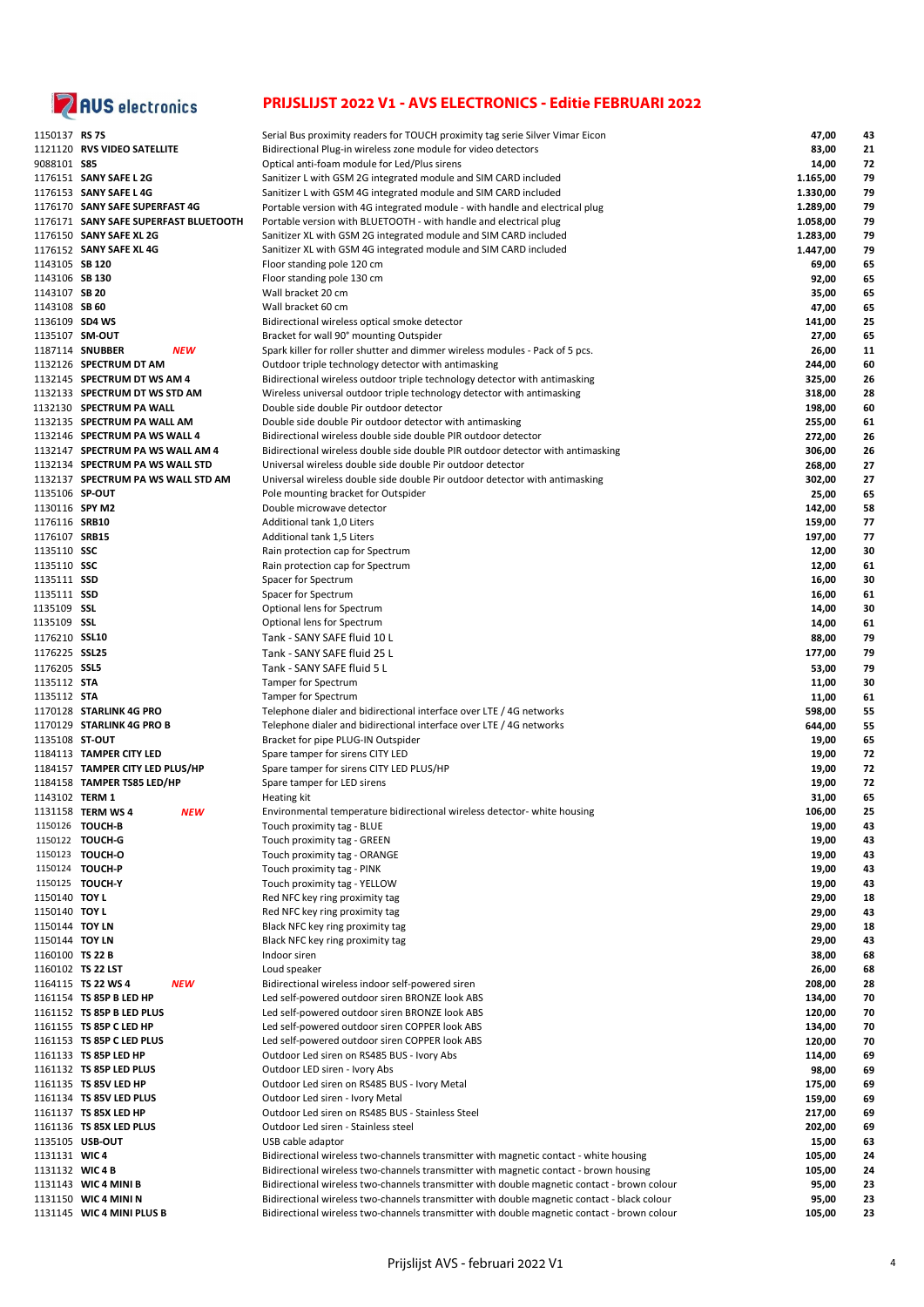

| 1150137 RS 7S      |                                       | Serial Bus proximity readers for TOUCH proximity tag serie Silver Vimar Eicon               | 47,00    | 43 |
|--------------------|---------------------------------------|---------------------------------------------------------------------------------------------|----------|----|
|                    |                                       |                                                                                             |          |    |
|                    | 1121120 RVS VIDEO SATELLITE           | Bidirectional Plug-in wireless zone module for video detectors                              | 83,00    | 21 |
| 9088101 <b>S85</b> |                                       | Optical anti-foam module for Led/Plus sirens                                                | 14,00    | 72 |
|                    | 1176151 SANY SAFE L 2G                | Sanitizer L with GSM 2G integrated module and SIM CARD included                             | 1.165,00 | 79 |
|                    | 1176153 SANY SAFE L 4G                | Sanitizer L with GSM 4G integrated module and SIM CARD included                             | 1.330,00 | 79 |
|                    | 1176170 SANY SAFE SUPERFAST 4G        | Portable version with 4G integrated module - with handle and electrical plug                | 1.289,00 | 79 |
|                    | 1176171 SANY SAFE SUPERFAST BLUETOOTH |                                                                                             |          | 79 |
|                    |                                       | Portable version with BLUETOOTH - with handle and electrical plug                           | 1.058,00 |    |
|                    | 1176150 SANY SAFE XL 2G               | Sanitizer XL with GSM 2G integrated module and SIM CARD included                            | 1.283,00 | 79 |
|                    | 1176152 SANY SAFE XL 4G               | Sanitizer XL with GSM 4G integrated module and SIM CARD included                            | 1.447,00 | 79 |
| 1143105 SB 120     |                                       | Floor standing pole 120 cm                                                                  | 69,00    | 65 |
| 1143106 SB 130     |                                       | Floor standing pole 130 cm                                                                  | 92,00    | 65 |
| 1143107 SB 20      |                                       |                                                                                             |          |    |
|                    |                                       | Wall bracket 20 cm                                                                          | 35,00    | 65 |
| 1143108 SB 60      |                                       | Wall bracket 60 cm                                                                          | 47,00    | 65 |
| 1136109 SD4 WS     |                                       | Bidirectional wireless optical smoke detector                                               | 141,00   | 25 |
| 1135107 SM-OUT     |                                       | Bracket for wall 90° mounting Outspider                                                     | 27,00    | 65 |
|                    | 1187114 SNUBBER<br><b>NEW</b>         | Spark killer for roller shutter and dimmer wireless modules - Pack of 5 pcs.                | 26,00    | 11 |
|                    |                                       |                                                                                             |          | 60 |
|                    | 1132126 SPECTRUM DT AM                | Outdoor triple technology detector with antimasking                                         | 244,00   |    |
|                    | 1132145 SPECTRUM DT WS AM 4           | Bidirectional wireless outdoor triple technology detector with antimasking                  | 325,00   | 26 |
|                    | 1132133 SPECTRUM DT WS STD AM         | Wireless universal outdoor triple technology detector with antimasking                      | 318,00   | 28 |
|                    | 1132130 SPECTRUM PA WALL              | Double side double Pir outdoor detector                                                     | 198,00   | 60 |
|                    | 1132135 SPECTRUM PA WALL AM           | Double side double Pir outdoor detector with antimasking                                    | 255,00   | 61 |
|                    |                                       |                                                                                             |          |    |
|                    | 1132146 SPECTRUM PA WS WALL 4         | Bidirectional wireless double side double PIR outdoor detector                              | 272,00   | 26 |
|                    | 1132147 SPECTRUM PA WS WALL AM 4      | Bidirectional wireless double side double PIR outdoor detector with antimasking             | 306,00   | 26 |
|                    | 1132134 SPECTRUM PA WS WALL STD       | Universal wireless double side double Pir outdoor detector                                  | 268,00   | 27 |
|                    | 1132137 SPECTRUM PA WS WALL STD AM    | Universal wireless double side double Pir outdoor detector with antimasking                 | 302,00   | 27 |
| 1135106 SP-OUT     |                                       | Pole mounting bracket for Outspider                                                         | 25,00    | 65 |
| 1130116 SPY M2     |                                       | Double microwave detector                                                                   |          |    |
|                    |                                       |                                                                                             | 142,00   | 58 |
| 1176116 SRB10      |                                       | Additional tank 1,0 Liters                                                                  | 159,00   | 77 |
| 1176107 SRB15      |                                       | Additional tank 1,5 Liters                                                                  | 197,00   | 77 |
| 1135110 SSC        |                                       | Rain protection cap for Spectrum                                                            | 12,00    | 30 |
| 1135110 SSC        |                                       | Rain protection cap for Spectrum                                                            | 12,00    | 61 |
|                    |                                       |                                                                                             |          | 30 |
| 1135111 SSD        |                                       | Spacer for Spectrum                                                                         | 16,00    |    |
| 1135111 SSD        |                                       | Spacer for Spectrum                                                                         | 16,00    | 61 |
| 1135109 <b>SSL</b> |                                       | Optional lens for Spectrum                                                                  | 14,00    | 30 |
| 1135109 <b>SSL</b> |                                       | Optional lens for Spectrum                                                                  | 14,00    | 61 |
| 1176210 SSL10      |                                       | Tank - SANY SAFE fluid 10 L                                                                 | 88,00    | 79 |
|                    |                                       |                                                                                             |          |    |
| 1176225 SSL25      |                                       | Tank - SANY SAFE fluid 25 L                                                                 | 177,00   | 79 |
| 1176205 SSL5       |                                       | Tank - SANY SAFE fluid 5 L                                                                  | 53,00    | 79 |
| 1135112 STA        |                                       | Tamper for Spectrum                                                                         | 11,00    | 30 |
| 1135112 STA        |                                       | Tamper for Spectrum                                                                         | 11,00    | 61 |
|                    | 1170128 STARLINK 4G PRO               | Telephone dialer and bidirectional interface over LTE / 4G networks                         | 598,00   | 55 |
|                    | 1170129 STARLINK 4G PRO B             |                                                                                             |          |    |
|                    |                                       | Telephone dialer and bidirectional interface over LTE / 4G networks                         | 644,00   | 55 |
| 1135108 ST-OUT     |                                       | Bracket for pipe PLUG-IN Outspider                                                          | 19,00    | 65 |
|                    | 1184113 TAMPER CITY LED               | Spare tamper for sirens CITY LED                                                            | 19,00    | 72 |
|                    | 1184157 TAMPER CITY LED PLUS/HP       | Spare tamper for sirens CITY LED PLUS/HP                                                    | 19,00    | 72 |
|                    | 1184158 TAMPER TS85 LED/HP            | Spare tamper for LED sirens                                                                 | 19,00    | 72 |
| 1143102 TERM 1     |                                       | Heating kit                                                                                 | 31,00    | 65 |
|                    |                                       |                                                                                             |          |    |
|                    | 1131158 TERM WS 4<br><b>NEW</b>       | Environmental temperature bidirectional wireless detector- white housing                    | 106,00   | 25 |
|                    | 1150126 TOUCH-B                       | Touch proximity tag - BLUE                                                                  | 19,00    | 43 |
|                    | 1150122 TOUCH-G                       | Touch proximity tag - GREEN                                                                 | 19,00    | 43 |
|                    | 1150123 TOUCH-O                       | Touch proximity tag - ORANGE                                                                | 19,00    | 43 |
|                    | 1150124 TOUCH-P                       | Touch proximity tag - PINK                                                                  | 19,00    | 43 |
|                    | 1150125 TOUCH-Y                       | Touch proximity tag - YELLOW                                                                | 19,00    | 43 |
|                    |                                       |                                                                                             |          |    |
| 1150140 TOY L      |                                       | Red NFC key ring proximity tag                                                              | 29,00    | 18 |
| 1150140 TOY L      |                                       | Red NFC key ring proximity tag                                                              | 29,00    | 43 |
| 1150144 TOY LN     |                                       | Black NFC key ring proximity tag                                                            | 29,00    | 18 |
| 1150144 TOY LN     |                                       | Black NFC key ring proximity tag                                                            | 29,00    | 43 |
| 1160100 TS 22 B    |                                       | Indoor siren                                                                                | 38,00    | 68 |
|                    | 1160102 TS 22 LST                     | Loud speaker                                                                                | 26,00    | 68 |
|                    |                                       |                                                                                             |          |    |
|                    | 1164115 TS 22 WS 4<br><b>NEW</b>      | Bidirectional wireless indoor self-powered siren                                            | 208,00   | 28 |
|                    | 1161154 TS 85P B LED HP               | Led self-powered outdoor siren BRONZE look ABS                                              | 134,00   | 70 |
|                    | 1161152 TS 85P B LED PLUS             | Led self-powered outdoor siren BRONZE look ABS                                              | 120,00   | 70 |
|                    | 1161155 TS 85P C LED HP               | Led self-powered outdoor siren COPPER look ABS                                              | 134,00   | 70 |
|                    | 1161153 TS 85P C LED PLUS             | Led self-powered outdoor siren COPPER look ABS                                              | 120,00   | 70 |
|                    | 1161133 TS 85P LED HP                 | Outdoor Led siren on RS485 BUS - Ivory Abs                                                  | 114,00   | 69 |
|                    |                                       |                                                                                             |          |    |
|                    | 1161132 TS 85P LED PLUS               | Outdoor LED siren - Ivory Abs                                                               | 98,00    | 69 |
|                    | 1161135 TS 85V LED HP                 | Outdoor Led siren on RS485 BUS - Ivory Metal                                                | 175,00   | 69 |
|                    | 1161134 TS 85V LED PLUS               | Outdoor Led siren - Ivory Metal                                                             | 159,00   | 69 |
|                    | 1161137 TS 85X LED HP                 | Outdoor Led siren on RS485 BUS - Stainless Steel                                            | 217,00   | 69 |
|                    | 1161136 TS 85X LED PLUS               | Outdoor Led siren - Stainless steel                                                         | 202,00   | 69 |
|                    |                                       |                                                                                             |          |    |
|                    | 1135105 USB-OUT                       | USB cable adaptor                                                                           | 15,00    | 63 |
| 1131131 WIC4       |                                       | Bidirectional wireless two-channels transmitter with magnetic contact - white housing       | 105,00   | 24 |
| 1131132 WIC4B      |                                       | Bidirectional wireless two-channels transmitter with magnetic contact - brown housing       | 105,00   | 24 |
|                    | 1131143 WIC 4 MINI B                  | Bidirectional wireless two-channels transmitter with double magnetic contact - brown colour | 95,00    | 23 |
|                    | 1131150 WIC 4 MINI N                  | Bidirectional wireless two-channels transmitter with double magnetic contact - black colour | 95,00    | 23 |
|                    |                                       |                                                                                             |          |    |
|                    | 1131145 WIC 4 MINI PLUS B             | Bidirectional wireless two-channels transmitter with double magnetic contact - brown colour | 105,00   | 23 |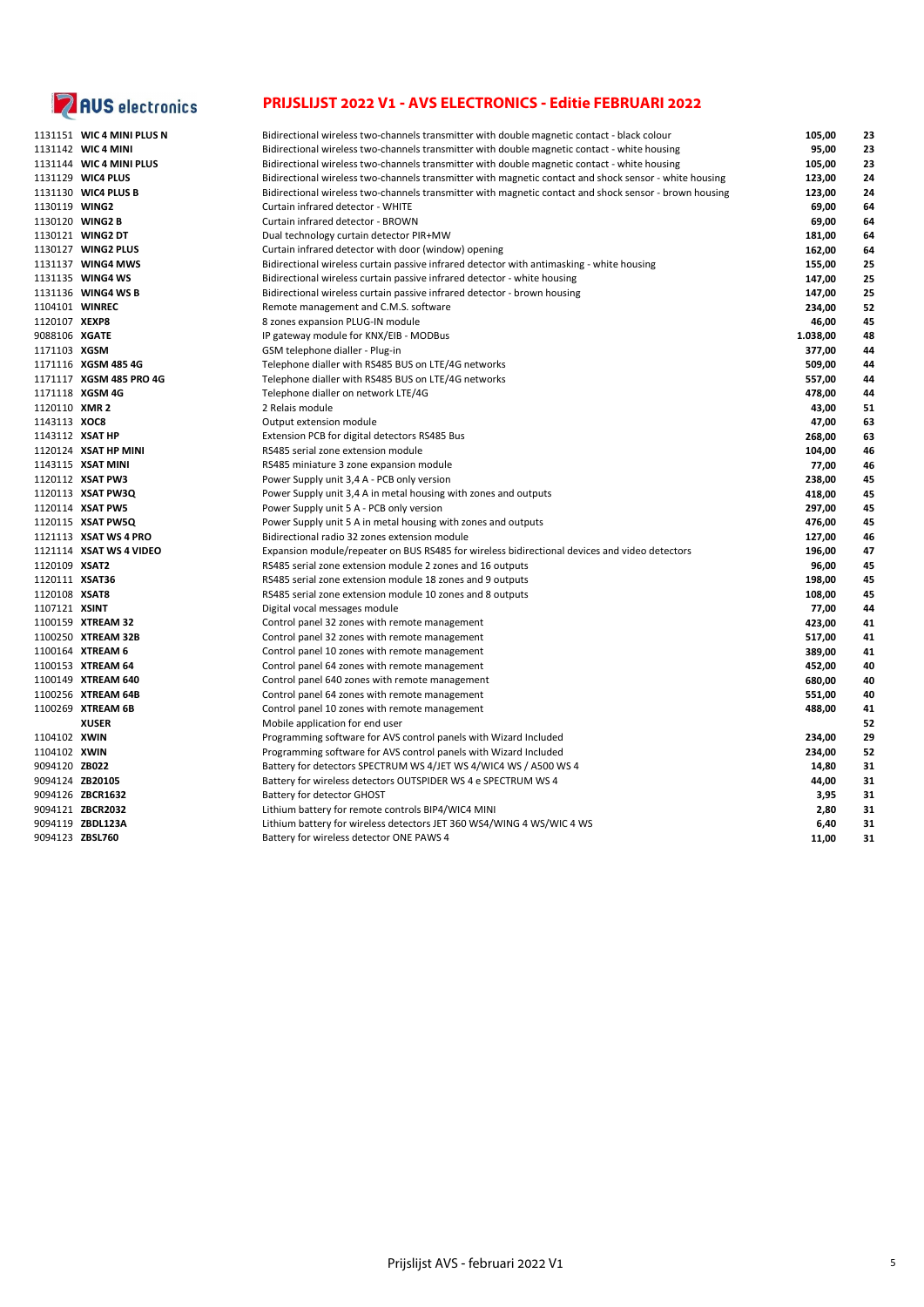

|                | 1131151 WIC 4 MINI PLUS N | Bidirectional wireless two-channels transmitter with double magnetic contact - black colour            | 105,00   | 23 |
|----------------|---------------------------|--------------------------------------------------------------------------------------------------------|----------|----|
|                | 1131142 WIC4 MINI         | Bidirectional wireless two-channels transmitter with double magnetic contact - white housing           | 95,00    | 23 |
|                | 1131144 WIC 4 MINI PLUS   | Bidirectional wireless two-channels transmitter with double magnetic contact - white housing           | 105,00   | 23 |
|                | 1131129 WIC4 PLUS         | Bidirectional wireless two-channels transmitter with magnetic contact and shock sensor - white housing | 123,00   | 24 |
|                | 1131130 WIC4 PLUS B       | Bidirectional wireless two-channels transmitter with magnetic contact and shock sensor - brown housing | 123,00   | 24 |
| 1130119 WING2  |                           | Curtain infrared detector - WHITE                                                                      | 69,00    | 64 |
|                | 1130120 WING2 B           | Curtain infrared detector - BROWN                                                                      | 69,00    | 64 |
|                | 1130121 WING2 DT          | Dual technology curtain detector PIR+MW                                                                | 181,00   | 64 |
|                | 1130127 WING2 PLUS        | Curtain infrared detector with door (window) opening                                                   | 162,00   | 64 |
|                | 1131137 WING4 MWS         | Bidirectional wireless curtain passive infrared detector with antimasking - white housing              | 155,00   | 25 |
|                | 1131135 WING4 WS          | Bidirectional wireless curtain passive infrared detector - white housing                               | 147,00   | 25 |
|                | 1131136 WING4 WS B        | Bidirectional wireless curtain passive infrared detector - brown housing                               | 147,00   | 25 |
|                | 1104101 WINREC            | Remote management and C.M.S. software                                                                  | 234,00   | 52 |
| 1120107 XEXP8  |                           | 8 zones expansion PLUG-IN module                                                                       | 46,00    | 45 |
| 9088106 XGATE  |                           | IP gateway module for KNX/EIB - MODBus                                                                 | 1.038,00 | 48 |
| 1171103 XGSM   |                           | GSM telephone dialler - Plug-in                                                                        | 377,00   | 44 |
|                | 1171116 XGSM 485 4G       | Telephone dialler with RS485 BUS on LTE/4G networks                                                    | 509,00   | 44 |
|                | 1171117 XGSM 485 PRO 4G   | Telephone dialler with RS485 BUS on LTE/4G networks                                                    | 557,00   | 44 |
|                | 1171118 XGSM 4G           | Telephone dialler on network LTE/4G                                                                    | 478,00   | 44 |
| 1120110 XMR 2  |                           | 2 Relais module                                                                                        | 43,00    | 51 |
| 1143113 XOC8   |                           | Output extension module                                                                                | 47,00    | 63 |
|                | 1143112 XSAT HP           | Extension PCB for digital detectors RS485 Bus                                                          | 268,00   | 63 |
|                | 1120124 XSAT HP MINI      | RS485 serial zone extension module                                                                     | 104,00   | 46 |
|                | 1143115 XSAT MINI         | RS485 miniature 3 zone expansion module                                                                | 77,00    | 46 |
|                | 1120112 XSAT PW3          | Power Supply unit 3,4 A - PCB only version                                                             | 238,00   | 45 |
|                | 1120113 XSAT PW3Q         | Power Supply unit 3,4 A in metal housing with zones and outputs                                        | 418,00   | 45 |
|                | 1120114 XSAT PW5          | Power Supply unit 5 A - PCB only version                                                               | 297,00   | 45 |
|                | 1120115 XSAT PW5Q         | Power Supply unit 5 A in metal housing with zones and outputs                                          | 476,00   | 45 |
|                | 1121113 XSAT WS 4 PRO     | Bidirectional radio 32 zones extension module                                                          | 127,00   | 46 |
|                | 1121114 XSAT WS 4 VIDEO   | Expansion module/repeater on BUS RS485 for wireless bidirectional devices and video detectors          | 196,00   | 47 |
| 1120109 XSAT2  |                           | RS485 serial zone extension module 2 zones and 16 outputs                                              | 96,00    | 45 |
| 1120111 XSAT36 |                           | RS485 serial zone extension module 18 zones and 9 outputs                                              | 198,00   | 45 |
| 1120108 XSAT8  |                           | RS485 serial zone extension module 10 zones and 8 outputs                                              | 108,00   | 45 |
| 1107121 XSINT  |                           | Digital vocal messages module                                                                          | 77,00    | 44 |
|                | 1100159 XTREAM 32         | Control panel 32 zones with remote management                                                          | 423,00   | 41 |
|                | 1100250 XTREAM 32B        | Control panel 32 zones with remote management                                                          | 517,00   | 41 |
|                | 1100164 XTREAM 6          | Control panel 10 zones with remote management                                                          | 389,00   | 41 |
|                | 1100153 XTREAM 64         | Control panel 64 zones with remote management                                                          | 452,00   | 40 |
|                | 1100149 XTREAM 640        | Control panel 640 zones with remote management                                                         | 680,00   | 40 |
|                | 1100256 XTREAM 64B        | Control panel 64 zones with remote management                                                          | 551,00   | 40 |
|                | 1100269 XTREAM 6B         | Control panel 10 zones with remote management                                                          | 488,00   | 41 |
|                | <b>XUSER</b>              | Mobile application for end user                                                                        |          | 52 |
| 1104102 XWIN   |                           | Programming software for AVS control panels with Wizard Included                                       | 234,00   | 29 |
| 1104102 XWIN   |                           | Programming software for AVS control panels with Wizard Included                                       | 234,00   | 52 |
| 9094120 ZB022  |                           | Battery for detectors SPECTRUM WS 4/JET WS 4/WIC4 WS / A500 WS 4                                       | 14,80    | 31 |
|                | 9094124 ZB20105           | Battery for wireless detectors OUTSPIDER WS 4 e SPECTRUM WS 4                                          | 44,00    | 31 |
|                | 9094126 ZBCR1632          | Battery for detector GHOST                                                                             | 3,95     | 31 |
|                | 9094121 ZBCR2032          | Lithium battery for remote controls BIP4/WIC4 MINI                                                     | 2,80     | 31 |
|                | 9094119 ZBDL123A          | Lithium battery for wireless detectors JET 360 WS4/WING 4 WS/WIC 4 WS                                  | 6,40     | 31 |
|                | 9094123 ZBSL760           | Battery for wireless detector ONE PAWS 4                                                               | 11,00    | 31 |